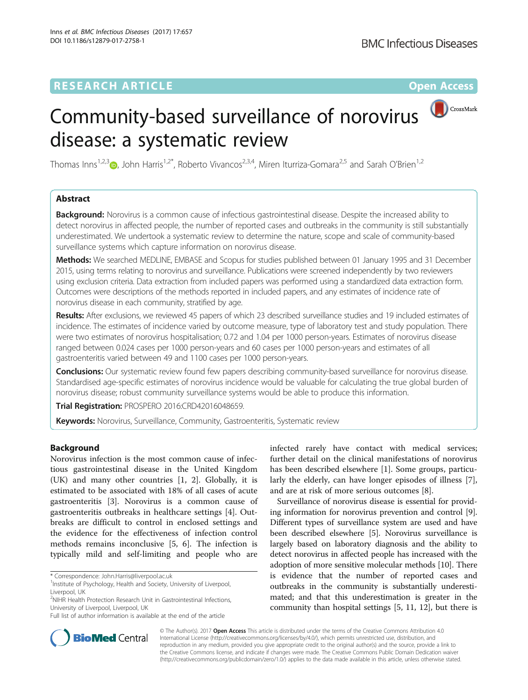## **RESEARCH ARTICLE Example 2018 12:00 Department of the Contract Open Access**

# CrossMark Community-based surveillance of norovirus disease: a systematic review

Thomas Inns<sup>1,2,3</sup> <sub>(b</sub>, John Harris<sup>1,2\*</sup>, Roberto Vivancos<sup>2,3,4</sup>, Miren Iturriza-Gomara<sup>2,5</sup> and Sarah O'Brien<sup>1,2</sup>

## Abstract

**Background:** Norovirus is a common cause of infectious gastrointestinal disease. Despite the increased ability to detect norovirus in affected people, the number of reported cases and outbreaks in the community is still substantially underestimated. We undertook a systematic review to determine the nature, scope and scale of community-based surveillance systems which capture information on norovirus disease.

Methods: We searched MEDLINE, EMBASE and Scopus for studies published between 01 January 1995 and 31 December 2015, using terms relating to norovirus and surveillance. Publications were screened independently by two reviewers using exclusion criteria. Data extraction from included papers was performed using a standardized data extraction form. Outcomes were descriptions of the methods reported in included papers, and any estimates of incidence rate of norovirus disease in each community, stratified by age.

Results: After exclusions, we reviewed 45 papers of which 23 described surveillance studies and 19 included estimates of incidence. The estimates of incidence varied by outcome measure, type of laboratory test and study population. There were two estimates of norovirus hospitalisation; 0.72 and 1.04 per 1000 person-years. Estimates of norovirus disease ranged between 0.024 cases per 1000 person-years and 60 cases per 1000 person-years and estimates of all gastroenteritis varied between 49 and 1100 cases per 1000 person-years.

Conclusions: Our systematic review found few papers describing community-based surveillance for norovirus disease. Standardised age-specific estimates of norovirus incidence would be valuable for calculating the true global burden of norovirus disease; robust community surveillance systems would be able to produce this information.

Trial Registration: PROSPERO 2016[:CRD42016048659.](https://www.crd.york.ac.uk/prospero/display_record.asp?ID=CRD42016048659)

**Keywords:** Norovirus, Surveillance, Community, Gastroenteritis, Systematic review

## Background

Norovirus infection is the most common cause of infectious gastrointestinal disease in the United Kingdom (UK) and many other countries [[1, 2\]](#page-7-0). Globally, it is estimated to be associated with 18% of all cases of acute gastroenteritis [\[3](#page-7-0)]. Norovirus is a common cause of gastroenteritis outbreaks in healthcare settings [\[4\]](#page-8-0). Outbreaks are difficult to control in enclosed settings and the evidence for the effectiveness of infection control methods remains inconclusive [[5, 6\]](#page-8-0). The infection is typically mild and self-limiting and people who are

<sup>2</sup>NIHR Health Protection Research Unit in Gastrointestinal Infections, University of Liverpool, Liverpool, UK

infected rarely have contact with medical services; further detail on the clinical manifestations of norovirus has been described elsewhere [[1\]](#page-7-0). Some groups, particularly the elderly, can have longer episodes of illness [\[7](#page-8-0)], and are at risk of more serious outcomes [[8\]](#page-8-0).

Surveillance of norovirus disease is essential for providing information for norovirus prevention and control [[9](#page-8-0)]. Different types of surveillance system are used and have been described elsewhere [\[5](#page-8-0)]. Norovirus surveillance is largely based on laboratory diagnosis and the ability to detect norovirus in affected people has increased with the adoption of more sensitive molecular methods [\[10\]](#page-8-0). There is evidence that the number of reported cases and outbreaks in the community is substantially underestimated; and that this underestimation is greater in the community than hospital settings [\[5](#page-8-0), [11](#page-8-0), [12\]](#page-8-0), but there is



© The Author(s). 2017 **Open Access** This article is distributed under the terms of the Creative Commons Attribution 4.0 International License [\(http://creativecommons.org/licenses/by/4.0/](http://creativecommons.org/licenses/by/4.0/)), which permits unrestricted use, distribution, and reproduction in any medium, provided you give appropriate credit to the original author(s) and the source, provide a link to the Creative Commons license, and indicate if changes were made. The Creative Commons Public Domain Dedication waiver [\(http://creativecommons.org/publicdomain/zero/1.0/](http://creativecommons.org/publicdomain/zero/1.0/)) applies to the data made available in this article, unless otherwise stated.

<sup>\*</sup> Correspondence: [John.Harris@liverpool.ac.uk](mailto:John.Harris@liverpool.ac.uk) <sup>1</sup>

<sup>&</sup>lt;sup>1</sup> Institute of Psychology, Health and Society, University of Liverpool, Liverpool, UK

Full list of author information is available at the end of the article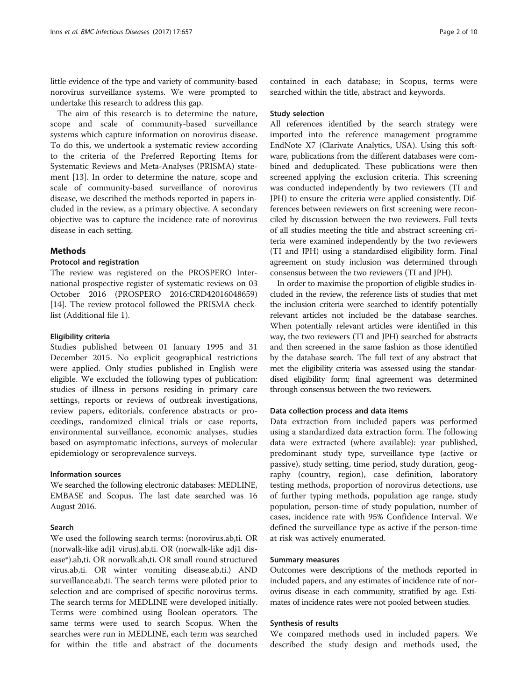little evidence of the type and variety of community-based norovirus surveillance systems. We were prompted to undertake this research to address this gap.

The aim of this research is to determine the nature, scope and scale of community-based surveillance systems which capture information on norovirus disease. To do this, we undertook a systematic review according to the criteria of the Preferred Reporting Items for Systematic Reviews and Meta-Analyses (PRISMA) statement [[13\]](#page-8-0). In order to determine the nature, scope and scale of community-based surveillance of norovirus disease, we described the methods reported in papers included in the review, as a primary objective. A secondary objective was to capture the incidence rate of norovirus disease in each setting.

## Methods

## Protocol and registration

The review was registered on the PROSPERO International prospective register of systematic reviews on 03 October 2016 (PROSPERO 2016:CRD42016048659) [[14\]](#page-8-0). The review protocol followed the PRISMA checklist (Additional file [1](#page-7-0)).

## Eligibility criteria

Studies published between 01 January 1995 and 31 December 2015. No explicit geographical restrictions were applied. Only studies published in English were eligible. We excluded the following types of publication: studies of illness in persons residing in primary care settings, reports or reviews of outbreak investigations, review papers, editorials, conference abstracts or proceedings, randomized clinical trials or case reports, environmental surveillance, economic analyses, studies based on asymptomatic infections, surveys of molecular epidemiology or seroprevalence surveys.

## Information sources

We searched the following electronic databases: MEDLINE, EMBASE and Scopus. The last date searched was 16 August 2016.

## Search

We used the following search terms: (norovirus.ab,ti. OR (norwalk-like adj1 virus).ab,ti. OR (norwalk-like adj1 disease\*).ab,ti. OR norwalk.ab,ti. OR small round structured virus.ab,ti. OR winter vomiting disease.ab,ti.) AND surveillance.ab,ti. The search terms were piloted prior to selection and are comprised of specific norovirus terms. The search terms for MEDLINE were developed initially. Terms were combined using Boolean operators. The same terms were used to search Scopus. When the searches were run in MEDLINE, each term was searched for within the title and abstract of the documents

contained in each database; in Scopus, terms were searched within the title, abstract and keywords.

#### Study selection

All references identified by the search strategy were imported into the reference management programme EndNote X7 (Clarivate Analytics, USA). Using this software, publications from the different databases were combined and deduplicated. These publications were then screened applying the exclusion criteria. This screening was conducted independently by two reviewers (TI and JPH) to ensure the criteria were applied consistently. Differences between reviewers on first screening were reconciled by discussion between the two reviewers. Full texts of all studies meeting the title and abstract screening criteria were examined independently by the two reviewers (TI and JPH) using a standardised eligibility form. Final agreement on study inclusion was determined through consensus between the two reviewers (TI and JPH).

In order to maximise the proportion of eligible studies included in the review, the reference lists of studies that met the inclusion criteria were searched to identify potentially relevant articles not included be the database searches. When potentially relevant articles were identified in this way, the two reviewers (TI and JPH) searched for abstracts and then screened in the same fashion as those identified by the database search. The full text of any abstract that met the eligibility criteria was assessed using the standardised eligibility form; final agreement was determined through consensus between the two reviewers.

## Data collection process and data items

Data extraction from included papers was performed using a standardized data extraction form. The following data were extracted (where available): year published, predominant study type, surveillance type (active or passive), study setting, time period, study duration, geography (country, region), case definition, laboratory testing methods, proportion of norovirus detections, use of further typing methods, population age range, study population, person-time of study population, number of cases, incidence rate with 95% Confidence Interval. We defined the surveillance type as active if the person-time at risk was actively enumerated.

## Summary measures

Outcomes were descriptions of the methods reported in included papers, and any estimates of incidence rate of norovirus disease in each community, stratified by age. Estimates of incidence rates were not pooled between studies.

## Synthesis of results

We compared methods used in included papers. We described the study design and methods used, the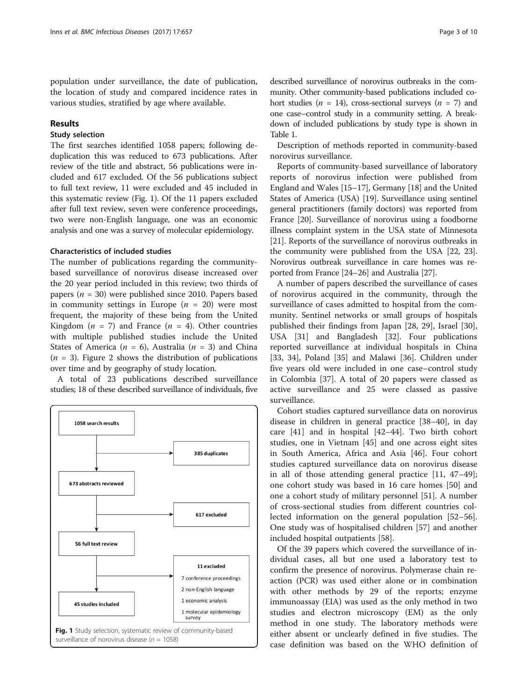population under surveillance, the date of publication, the location of study and compared incidence rates in various studies, stratified by age where available.

## Results

## Study selection

The first searches identified 1058 papers; following deduplication this was reduced to 673 publications. After review of the title and abstract, 56 publications were included and 617 excluded. Of the 56 publications subject to full text review, 11 were excluded and 45 included in this systematic review (Fig. 1). Of the 11 papers excluded after full text review, seven were conference proceedings, two were non-English language, one was an economic analysis and one was a survey of molecular epidemiology.

## Characteristics of included studies

The number of publications regarding the communitybased surveillance of norovirus disease increased over the 20 year period included in this review; two thirds of papers ( $n = 30$ ) were published since 2010. Papers based in community settings in Europe ( $n = 20$ ) were most frequent, the majority of these being from the United Kingdom ( $n = 7$ ) and France ( $n = 4$ ). Other countries with multiple published studies include the United States of America ( $n = 6$ ), Australia ( $n = 3$ ) and China  $(n = 3)$ . Figure [2](#page-3-0) shows the distribution of publications over time and by geography of study location.

A total of 23 publications described surveillance studies; 18 of these described surveillance of individuals, five



described surveillance of norovirus outbreaks in the community. Other community-based publications included cohort studies ( $n = 14$ ), cross-sectional surveys ( $n = 7$ ) and one case–control study in a community setting. A breakdown of included publications by study type is shown in Table [1](#page-4-0).

Description of methods reported in community-based norovirus surveillance.

Reports of community-based surveillance of laboratory reports of norovirus infection were published from England and Wales [[15](#page-8-0)–[17\]](#page-8-0), Germany [\[18\]](#page-8-0) and the United States of America (USA) [\[19\]](#page-8-0). Surveillance using sentinel general practitioners (family doctors) was reported from France [[20](#page-8-0)]. Surveillance of norovirus using a foodborne illness complaint system in the USA state of Minnesota [[21](#page-8-0)]. Reports of the surveillance of norovirus outbreaks in the community were published from the USA [\[22](#page-8-0), [23](#page-8-0)]. Norovirus outbreak surveillance in care homes was reported from France [\[24](#page-8-0)–[26](#page-8-0)] and Australia [\[27\]](#page-8-0).

A number of papers described the surveillance of cases of norovirus acquired in the community, through the surveillance of cases admitted to hospital from the community. Sentinel networks or small groups of hospitals published their findings from Japan [[28, 29](#page-8-0)], Israel [\[30](#page-8-0)], USA [\[31](#page-8-0)] and Bangladesh [[32\]](#page-8-0). Four publications reported surveillance at individual hospitals in China [[33, 34](#page-8-0)], Poland [[35\]](#page-8-0) and Malawi [[36](#page-8-0)]. Children under five years old were included in one case–control study in Colombia [[37\]](#page-8-0). A total of 20 papers were classed as active surveillance and 25 were classed as passive surveillance.

Cohort studies captured surveillance data on norovirus disease in children in general practice [\[38](#page-8-0)–[40\]](#page-8-0), in day care [[41](#page-8-0)] and in hospital [\[42](#page-8-0)–[44\]](#page-8-0). Two birth cohort studies, one in Vietnam [\[45](#page-8-0)] and one across eight sites in South America, Africa and Asia [[46\]](#page-8-0). Four cohort studies captured surveillance data on norovirus disease in all of those attending general practice [[11](#page-8-0), [47](#page-9-0)–[49](#page-9-0)]; one cohort study was based in 16 care homes [[50](#page-9-0)] and one a cohort study of military personnel [[51\]](#page-9-0). A number of cross-sectional studies from different countries collected information on the general population [[52](#page-9-0)–[56](#page-9-0)]. One study was of hospitalised children [\[57](#page-9-0)] and another included hospital outpatients [[58\]](#page-9-0).

Of the 39 papers which covered the surveillance of individual cases, all but one used a laboratory test to confirm the presence of norovirus. Polymerase chain reaction (PCR) was used either alone or in combination with other methods by 29 of the reports; enzyme immunoassay (EIA) was used as the only method in two studies and electron microscopy (EM) as the only method in one study. The laboratory methods were either absent or unclearly defined in five studies. The case definition was based on the WHO definition of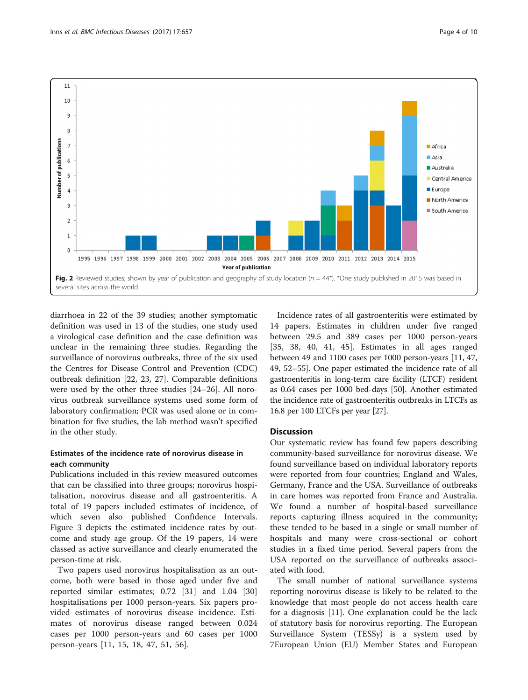<span id="page-3-0"></span>

diarrhoea in 22 of the 39 studies; another symptomatic definition was used in 13 of the studies, one study used a virological case definition and the case definition was unclear in the remaining three studies. Regarding the surveillance of norovirus outbreaks, three of the six used the Centres for Disease Control and Prevention (CDC) outbreak definition [[22, 23, 27\]](#page-8-0). Comparable definitions were used by the other three studies [\[24](#page-8-0)–[26\]](#page-8-0). All norovirus outbreak surveillance systems used some form of laboratory confirmation; PCR was used alone or in combination for five studies, the lab method wasn't specified in the other study.

## Estimates of the incidence rate of norovirus disease in each community

Publications included in this review measured outcomes that can be classified into three groups; norovirus hospitalisation, norovirus disease and all gastroenteritis. A total of 19 papers included estimates of incidence, of which seven also published Confidence Intervals. Figure [3](#page-6-0) depicts the estimated incidence rates by outcome and study age group. Of the 19 papers, 14 were classed as active surveillance and clearly enumerated the person-time at risk.

Two papers used norovirus hospitalisation as an outcome, both were based in those aged under five and reported similar estimates; 0.72 [\[31](#page-8-0)] and 1.04 [\[30](#page-8-0)] hospitalisations per 1000 person-years. Six papers provided estimates of norovirus disease incidence. Estimates of norovirus disease ranged between 0.024 cases per 1000 person-years and 60 cases per 1000 person-years [[11, 15, 18](#page-8-0), [47](#page-9-0), [51](#page-9-0), [56\]](#page-9-0).

Incidence rates of all gastroenteritis were estimated by 14 papers. Estimates in children under five ranged between 29.5 and 389 cases per 1000 person-years [[35, 38](#page-8-0), [40](#page-8-0), [41, 45\]](#page-8-0). Estimates in all ages ranged between 49 and 1100 cases per 1000 person-years [\[11,](#page-8-0) [47](#page-9-0), [49](#page-9-0), [52](#page-9-0)–[55\]](#page-9-0). One paper estimated the incidence rate of all gastroenteritis in long-term care facility (LTCF) resident as 0.64 cases per 1000 bed-days [\[50\]](#page-9-0). Another estimated the incidence rate of gastroenteritis outbreaks in LTCFs as 16.8 per 100 LTCFs per year [\[27\]](#page-8-0).

## **Discussion**

Our systematic review has found few papers describing community-based surveillance for norovirus disease. We found surveillance based on individual laboratory reports were reported from four countries; England and Wales, Germany, France and the USA. Surveillance of outbreaks in care homes was reported from France and Australia. We found a number of hospital-based surveillance reports capturing illness acquired in the community; these tended to be based in a single or small number of hospitals and many were cross-sectional or cohort studies in a fixed time period. Several papers from the USA reported on the surveillance of outbreaks associated with food.

The small number of national surveillance systems reporting norovirus disease is likely to be related to the knowledge that most people do not access health care for a diagnosis [\[11](#page-8-0)]. One explanation could be the lack of statutory basis for norovirus reporting. The European Surveillance System (TESSy) is a system used by 7European Union (EU) Member States and European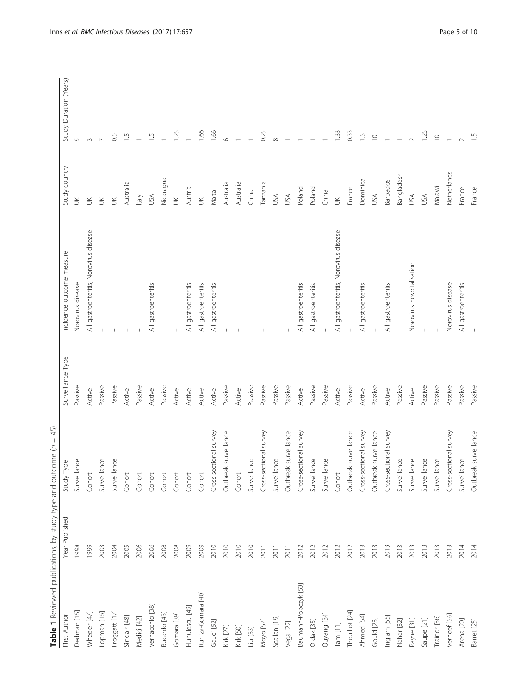<span id="page-4-0"></span>

| Table 1 Reviewed publications, by study type and outcome (n = 45) |                |                        |                   |                                              |                 |                        |
|-------------------------------------------------------------------|----------------|------------------------|-------------------|----------------------------------------------|-----------------|------------------------|
| First Author                                                      | Year Published | Type<br>Study          | Surveillance Type | Incidence outcome measure                    | Study country   | Study Duration (Years) |
| Dedman [15]                                                       | 1998           | Surveillance           | Passive           | Norovirus disease                            | $\leq$          | $\overline{5}$         |
| Wheeler [47]                                                      | 1999           | Cohort                 | Active            | All gastroenteritis; Norovirus disease       | $\leq$          | 3                      |
| Lopman [16]                                                       | 2003           | Surveillance           | Passive           |                                              | $\leq$          |                        |
| Froggatt [17]                                                     | 2004           | Surveillance           | Passive           |                                              | $\leq$          | So                     |
| Sinclair [48]                                                     | 2005           | Cohort                 | Active            |                                              | Australia       | $\frac{5}{1}$          |
| Medici [42]                                                       | 2006           | Cohort                 | Passive           |                                              | ltaly           |                        |
| Vernacchio [38]                                                   | 2006           | Cohort                 | Active            | All gastroenteritis                          | USA             | $\overline{1}$         |
| Bucardo [43]                                                      | 2008           | Cohort                 | Passive           |                                              | Nicaragua       |                        |
| Gomara [39]                                                       | 2008           | Cohort                 | Active            |                                              | $\leq$          | 1.25                   |
| Huhulescu [49]                                                    | 2009           | Cohort                 | Active            | All gastroenteritis                          | Austria         |                        |
| Iturriza-Gomara [40]                                              | 2009           | Cohort                 | Active            | All gastroenteritis                          | $\leq$          | 1.66                   |
| Gauci [52]                                                        | 2010           | Cross-sectional survey | Active            | All gastroenteritis                          | Malta           | 1.66                   |
| Kirk [27]                                                         | 2010           | Outbreak surveillance  | Passive           |                                              | Australia       | O                      |
| Kirk [50]                                                         | 2010           | Cohort                 | Active            |                                              | Australia       |                        |
| Liu [33]                                                          | 2010           | Surveillance           | Passive           |                                              | China           |                        |
| Moyo [57]                                                         | 2011           | Cross-sectional survey | Passive           |                                              | Tanzania        | 0.25                   |
| Scallan [19]                                                      | 2011           | Surveillance           | Passive           |                                              | USA             |                        |
| Vega [22]                                                         | 2011           | Outbreak surveillance  | Passive           |                                              | <b>USA</b>      |                        |
| Baumann-Popczyk [53]                                              | 2012           | Cross-sectional survey | Active            | All gastroenteritis                          | Poland          |                        |
| Oldak [35]                                                        | 2012           | Surveillance           | Passive           | gastroenteritis<br>$\overline{\overline{z}}$ | Poland          |                        |
| Ouyang [34]                                                       | 2012           | Surveillance           | Passive           |                                              | China           |                        |
| $\mathsf{Tam}\left[11\right]$                                     | 2012           | Cohort                 | Active            | All gastroenteritis; Norovirus disease       | $\leq$          | 1.33                   |
| Thouillot [24]                                                    | 2012           | Outbreak surveillance  | Passive           |                                              | France          | 0.33                   |
| Ahmed [54]                                                        | 2013           | Cross-sectional survey | Active            | All gastroenteritis                          | Dominica        | $\frac{5}{1}$          |
| Gould [23]                                                        | 2013           | Outbreak surveillance  | Passive           |                                              | <b>USA</b>      | $\supseteq$            |
| Ingram [55]                                                       | 2013           | Cross-sectional survey | Active            | All gastroenteritis                          | <b>Barbados</b> |                        |
| Nahar [32]                                                        | 2013           | Surveillance           | Passive           |                                              | Bangladesh      |                        |
| Payne [31]                                                        | 2013           | Surveillance           | Active            | Norovirus hospitalisation                    | JSA             |                        |
| Saupe [21]                                                        | 2013           | Surveillance           | Passive           |                                              | USA             | 125                    |
| Trainor [36]                                                      | 2013           | Surveillance           | Passive           |                                              | Malawi          | $\supseteq$            |
| Verhoef [56]                                                      | 2013           | Cross-sectional survey | Passive           | Norovirus disease                            | Netherlands     |                        |
| Arena [20]                                                        | 2014           | Surveillance           | Passive           | All gastroenteritis                          | France          |                        |
| Barret [25]                                                       | 2014           | Outbreak surveillance  | Passive           |                                              | France          |                        |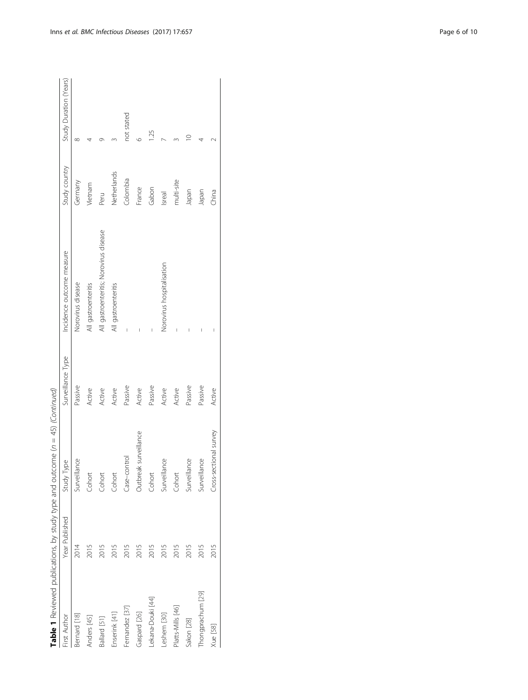|                   |                | Table 1 Reviewed publications, by study type and outcome $(n = 45)$ (Continued) |                   |                                        |               |                        |
|-------------------|----------------|---------------------------------------------------------------------------------|-------------------|----------------------------------------|---------------|------------------------|
| First Author      | Year Published | Study Type                                                                      | Surveillance Type | Incidence outcome measure              | Study country | Study Duration (Years) |
| Bernard [18]      | 2014           | Surveillance                                                                    | Passive           | Norovirus disease                      | Germany       | $\infty$               |
| Anders [45]       | 2015           | Cohort                                                                          | Active            | All gastroenteritis                    | Vietnam       |                        |
| Ballard [51]      | 2015           | Cohort                                                                          | Active            | All gastroenteritis; Norovirus disease | Peru          |                        |
| Enserink [41]     | 2015           | Cohort                                                                          | Active            | All gastroenteritis                    | Netherlands   |                        |
| Fernandez [37]    | 2015           | Case-control                                                                    | Passive           |                                        | Colombia      | not stated             |
| Gaspard [26]      | 2015           | Outbreak surveillance                                                           | Active            |                                        | France        | ७                      |
| Lekana-Douki [44] | 2015           | Cohort                                                                          | Passive           | I                                      | Gabon         | $\frac{25}{2}$         |
| Leshem [30]       | 2015           | Surveillance                                                                    | Active            | Norovirus hospitalisation              | Isreal        |                        |
| Platts-Mills [46] | 2015           | Cohort                                                                          | Active            |                                        | multi-site    |                        |
| Sakon [28]        | 2015           | Surveillance                                                                    | Passive           |                                        | Japan         |                        |
| Thongprachum [29] | 2015           | Surveillance                                                                    | Passive           | I                                      | Japan         |                        |
| Xue [58]          | 2015           | Cross-sectional survey                                                          | Active            |                                        | China         |                        |
|                   |                |                                                                                 |                   |                                        |               |                        |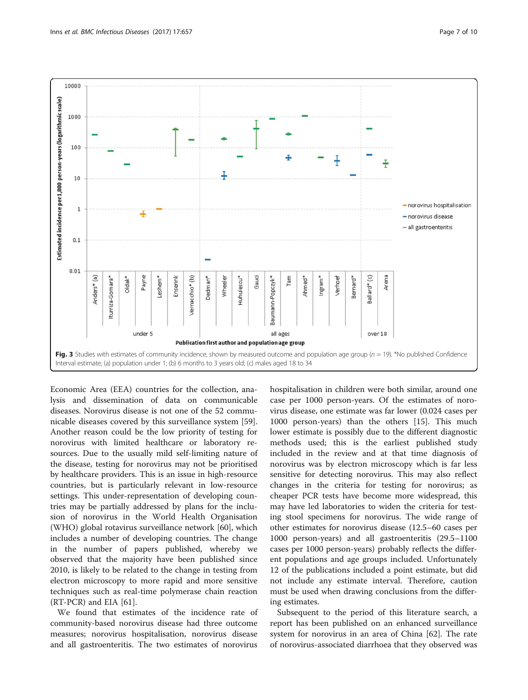<span id="page-6-0"></span>

Economic Area (EEA) countries for the collection, analysis and dissemination of data on communicable diseases. Norovirus disease is not one of the 52 communicable diseases covered by this surveillance system [\[59](#page-9-0)]. Another reason could be the low priority of testing for norovirus with limited healthcare or laboratory resources. Due to the usually mild self-limiting nature of the disease, testing for norovirus may not be prioritised by healthcare providers. This is an issue in high-resource countries, but is particularly relevant in low-resource settings. This under-representation of developing countries may be partially addressed by plans for the inclusion of norovirus in the World Health Organisation (WHO) global rotavirus surveillance network [\[60\]](#page-9-0), which includes a number of developing countries. The change in the number of papers published, whereby we observed that the majority have been published since 2010, is likely to be related to the change in testing from electron microscopy to more rapid and more sensitive techniques such as real-time polymerase chain reaction (RT-PCR) and EIA [[61](#page-9-0)].

We found that estimates of the incidence rate of community-based norovirus disease had three outcome measures; norovirus hospitalisation, norovirus disease and all gastroenteritis. The two estimates of norovirus

hospitalisation in children were both similar, around one case per 1000 person-years. Of the estimates of norovirus disease, one estimate was far lower (0.024 cases per 1000 person-years) than the others [[15\]](#page-8-0). This much lower estimate is possibly due to the different diagnostic methods used; this is the earliest published study included in the review and at that time diagnosis of norovirus was by electron microscopy which is far less sensitive for detecting norovirus. This may also reflect changes in the criteria for testing for norovirus; as cheaper PCR tests have become more widespread, this may have led laboratories to widen the criteria for testing stool specimens for norovirus. The wide range of other estimates for norovirus disease (12.5–60 cases per 1000 person-years) and all gastroenteritis (29.5–1100 cases per 1000 person-years) probably reflects the different populations and age groups included. Unfortunately 12 of the publications included a point estimate, but did not include any estimate interval. Therefore, caution must be used when drawing conclusions from the differing estimates.

Subsequent to the period of this literature search, a report has been published on an enhanced surveillance system for norovirus in an area of China [[62\]](#page-9-0). The rate of norovirus-associated diarrhoea that they observed was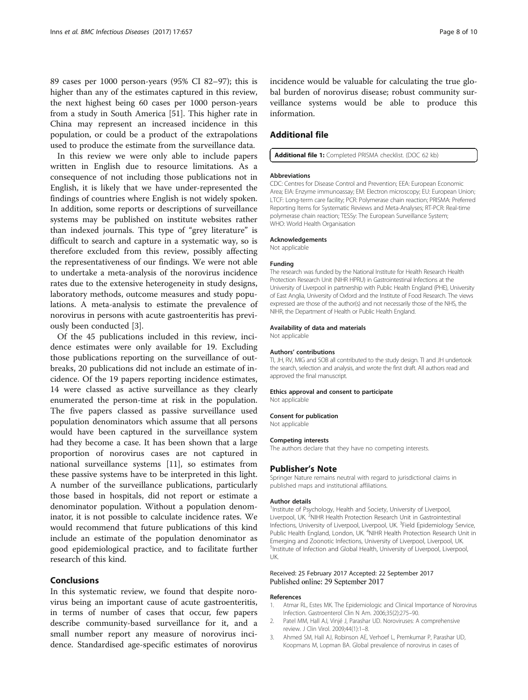<span id="page-7-0"></span>89 cases per 1000 person-years (95% CI 82–97); this is higher than any of the estimates captured in this review, the next highest being 60 cases per 1000 person-years from a study in South America [[51](#page-9-0)]. This higher rate in China may represent an increased incidence in this population, or could be a product of the extrapolations used to produce the estimate from the surveillance data.

In this review we were only able to include papers written in English due to resource limitations. As a consequence of not including those publications not in English, it is likely that we have under-represented the findings of countries where English is not widely spoken. In addition, some reports or descriptions of surveillance systems may be published on institute websites rather than indexed journals. This type of "grey literature" is difficult to search and capture in a systematic way, so is therefore excluded from this review, possibly affecting the representativeness of our findings. We were not able to undertake a meta-analysis of the norovirus incidence rates due to the extensive heterogeneity in study designs, laboratory methods, outcome measures and study populations. A meta-analysis to estimate the prevalence of norovirus in persons with acute gastroenteritis has previously been conducted [3].

Of the 45 publications included in this review, incidence estimates were only available for 19. Excluding those publications reporting on the surveillance of outbreaks, 20 publications did not include an estimate of incidence. Of the 19 papers reporting incidence estimates, 14 were classed as active surveillance as they clearly enumerated the person-time at risk in the population. The five papers classed as passive surveillance used population denominators which assume that all persons would have been captured in the surveillance system had they become a case. It has been shown that a large proportion of norovirus cases are not captured in national surveillance systems [[11\]](#page-8-0), so estimates from these passive systems have to be interpreted in this light. A number of the surveillance publications, particularly those based in hospitals, did not report or estimate a denominator population. Without a population denominator, it is not possible to calculate incidence rates. We would recommend that future publications of this kind include an estimate of the population denominator as good epidemiological practice, and to facilitate further research of this kind.

## Conclusions

In this systematic review, we found that despite norovirus being an important cause of acute gastroenteritis, in terms of number of cases that occur, few papers describe community-based surveillance for it, and a small number report any measure of norovirus incidence. Standardised age-specific estimates of norovirus

incidence would be valuable for calculating the true global burden of norovirus disease; robust community surveillance systems would be able to produce this information.

## Additional file

## [Additional file 1:](dx.doi.org/10.1186/s12879-017-2758-1) Completed PRISMA checklist. (DOC 62 kb)

#### Abbreviations

CDC: Centres for Disease Control and Prevention; EEA: European Economic Area; EIA: Enzyme immunoassay; EM: Electron microscopy; EU: European Union; LTCF: Long-term care facility; PCR: Polymerase chain reaction; PRISMA: Preferred Reporting Items for Systematic Reviews and Meta-Analyses; RT-PCR: Real-time polymerase chain reaction; TESSy: The European Surveillance System; WHO: World Health Organisation

#### Acknowledgements

Not applicable

#### Funding

The research was funded by the National Institute for Health Research Health Protection Research Unit (NIHR HPRU) in Gastrointestinal Infections at the University of Liverpool in partnership with Public Health England (PHE), University of East Anglia, University of Oxford and the Institute of Food Research. The views expressed are those of the author(s) and not necessarily those of the NHS, the NIHR, the Department of Health or Public Health England.

#### Availability of data and materials

Not applicable

#### Authors' contributions

TI, JH, RV, MIG and SOB all contributed to the study design. TI and JH undertook the search, selection and analysis, and wrote the first draft. All authors read and approved the final manuscript.

#### Ethics approval and consent to participate

Not applicable

#### Consent for publication

Not applicable

#### Competing interests

The authors declare that they have no competing interests.

#### Publisher's Note

Springer Nature remains neutral with regard to jurisdictional claims in published maps and institutional affiliations.

#### Author details

<sup>1</sup>Institute of Psychology, Health and Society, University of Liverpool Liverpool, UK. <sup>2</sup>NIHR Health Protection Research Unit in Gastrointestinal Infections, University of Liverpool, Liverpool, UK. <sup>3</sup>Field Epidemiology Service, Public Health England, London, UK. <sup>4</sup>NIHR Health Protection Research Unit in Emerging and Zoonotic Infections, University of Liverpool, Liverpool, UK. <sup>5</sup>Institute of Infection and Global Health, University of Liverpool, Liverpool UK.

#### Received: 25 February 2017 Accepted: 22 September 2017 Published online: 29 September 2017

#### References

- 1. Atmar RL, Estes MK. The Epidemiologic and Clinical Importance of Norovirus Infection. Gastroenterol Clin N Am. 2006;35(2):275–90.
- 2. Patel MM, Hall AJ, Vinjé J, Parashar UD. Noroviruses: A comprehensive review. J Clin Virol. 2009;44(1):1–8.
- 3. Ahmed SM, Hall AJ, Robinson AE, Verhoef L, Premkumar P, Parashar UD, Koopmans M, Lopman BA. Global prevalence of norovirus in cases of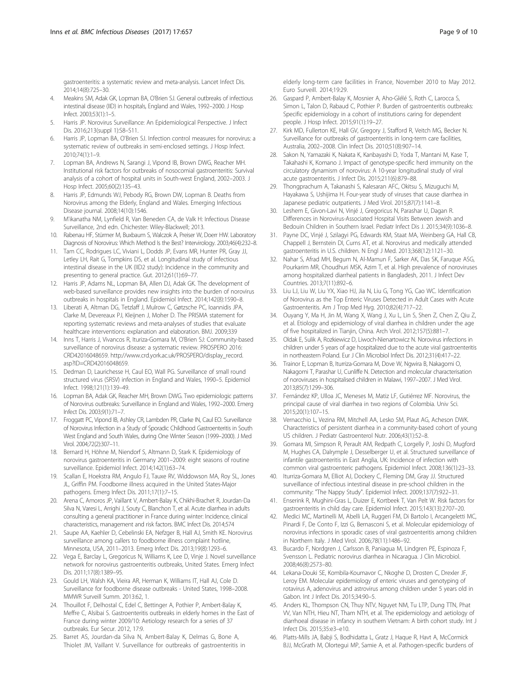<span id="page-8-0"></span>gastroenteritis: a systematic review and meta-analysis. Lancet Infect Dis. 2014;14(8):725–30.

- 4. Meakins SM, Adak GK, Lopman BA, O'Brien SJ. General outbreaks of infectious intestinal disease (IID) in hospitals, England and Wales, 1992–2000. J Hosp Infect. 2003;53(1):1–5.
- 5. Harris JP. Norovirus Surveillance: An Epidemiological Perspective. J Infect Dis. 2016;213(suppl 1):S8–S11.
- 6. Harris JP, Lopman BA, O'Brien SJ. Infection control measures for norovirus: a systematic review of outbreaks in semi-enclosed settings. J Hosp Infect. 2010;74(1):1–9.
- Lopman BA, Andrews N, Sarangi J, Vipond IB, Brown DWG, Reacher MH. Institutional risk factors for outbreaks of nosocomial gastroenteritis: Survival analysis of a cohort of hospital units in South-west England, 2002–2003. J Hosp Infect. 2005;60(2):135–43.
- 8. Harris JP, Edmunds WJ, Pebody RG, Brown DW, Lopman B. Deaths from Norovirus among the Elderly, England and Wales. Emerging Infectious Disease journal. 2008;14(10):1546.
- 9. M'ikanatha NM, Lynfield R, Van Beneden CA, de Valk H: Infectious Disease Surveillance, 2nd edn. Chichester: Wiley-Blackwell; 2013.
- 10. Rabenau HF, Stürmer M, Buxbaum S, Walczok A, Preiser W, Doerr HW. Laboratory Diagnosis of Norovirus: Which Method Is the Best? Intervirology. 2003;46(4):232–8.
- 11. Tam CC, Rodrigues LC, Viviani L, Dodds JP, Evans MR, Hunter PR, Gray JJ, Letley LH, Rait G, Tompkins DS, et al. Longitudinal study of infectious intestinal disease in the UK (IID2 study): Incidence in the community and presenting to general practice. Gut. 2012;61(1):69–77.
- 12. Harris JP, Adams NL, Lopman BA, Allen DJ, Adak GK. The development of web-based surveillance provides new insights into the burden of norovirus outbreaks in hospitals in England. Epidemiol Infect. 2014;142(8):1590–8.
- 13. Liberati A, Altman DG, Tetzlaff J, Mulrow C, Gøtzsche PC, Ioannidis JPA, Clarke M, Devereaux PJ, Kleijnen J, Moher D. The PRISMA statement for reporting systematic reviews and meta-analyses of studies that evaluate healthcare interventions: explanation and elaboration. BMJ. 2009;339
- 14. Inns T, Harris J, Vivancos R, Ituriza-Gomara M, O'Brien SJ: Community-based surveillance of norovirus disease: a systematic review. PROSPERO 2016: CRD42016048659. [http://www.crd.york.ac.uk/PROSPERO/display\\_record.](http://www.crd.york.ac.uk/PROSPERO/display_record.asp?ID=CRD42016048659) [asp?ID=CRD42016048659](http://www.crd.york.ac.uk/PROSPERO/display_record.asp?ID=CRD42016048659).
- 15. Dedman D, Laurichesse H, Caul EO, Wall PG. Surveillance of small round structured virus (SRSV) infection in England and Wales, 1990–5. Epidemiol Infect. 1998;121(1):139–49.
- 16. Lopman BA, Adak GK, Reacher MH, Brown DWG. Two epidemiologic patterns of Norovirus outbreaks: Surveillance in England and Wales, 1992–2000. Emerg Infect Dis. 2003;9(1):71–7.
- 17. Froggatt PC, Vipond IB, Ashley CR, Lambden PR, Clarke IN, Caul EO. Surveillance of Norovirus Infection in a Study of Sporadic Childhood Gastroenteritis in South West England and South Wales, during One Winter Season (1999–2000). J Med Virol. 2004;72(2):307–11.
- 18. Bernard H, Höhne M, Niendorf S, Altmann D, Stark K. Epidemiology of norovirus gastroenteritis in Germany 2001–2009: eight seasons of routine surveillance. Epidemiol Infect. 2014;142(1):63–74.
- 19. Scallan E, Hoekstra RM, Angulo FJ, Tauxe RV, Widdowson MA, Roy SL, Jones JL, Griffin PM. Foodborne illness acquired in the United States-Major pathogens. Emerg Infect Dis. 2011;17(1):7–15.
- 20. Arena C, Amoros JP, Vaillant V, Ambert-Balay K, Chikhi-Brachet R, Jourdan-Da Silva N, Varesi L, Arrighi J, Souty C, Blanchon T, et al. Acute diarrhea in adults consulting a general practitioner in France during winter: Incidence, clinical characteristics, management and risk factors. BMC Infect Dis. 2014;574
- 21. Saupe AA, Kaehler D, Cebelinski EA, Nefzger B, Hall AJ, Smith KE. Norovirus surveillance among callers to foodborne illness complaint hotline, Minnesota, USA, 2011–2013. Emerg Infect Dis. 2013;19(8):1293–6.
- 22. Vega E, Barclay L, Gregoricus N, Williams K, Lee D, Vinje J. Novel surveillance network for norovirus gastroenteritis outbreaks, United States. Emerg Infect Dis. 2011;17(8):1389–95.
- 23. Gould LH, Walsh KA, Vieira AR, Herman K, Williams IT, Hall AJ, Cole D. Surveillance for foodborne disease outbreaks - United States, 1998–2008. MMWR Surveill Summ. 2013:62, 1.
- 24. Thouillot F, Delhostal C, Edel C, Bettinger A, Pothier P, Ambert-Balay K, Meffre C, Alsibai S. Gastroenteritis outbreaks in elderly homes in the East of France during winter 2009/10: Aetiology research for a series of 37 outbreaks. Eur Secur. 2012, 17:9.
- 25. Barret AS, Jourdan-da Silva N, Ambert-Balay K, Delmas G, Bone A, Thiolet JM, Vaillant V. Surveillance for outbreaks of gastroenteritis in

elderly long-term care facilities in France, November 2010 to May 2012. Euro Surveill. 2014;19:29.

- 26. Gaspard P, Ambert-Balay K, Mosnier A, Aho-Glélé S, Roth C, Larocca S, Simon L, Talon D, Rabaud C, Pothier P. Burden of gastroenteritis outbreaks: Specific epidemiology in a cohort of institutions caring for dependent people. J Hosp Infect. 2015;91(1):19–27.
- 27. Kirk MD, Fullerton KE, Hall GV, Gregory J, Stafford R, Veitch MG, Becker N. Surveillance for outbreaks of gastroenteritis in long-term care facilities, Australia, 2002–2008. Clin Infect Dis. 2010;51(8):907–14.
- 28. Sakon N, Yamazaki K, Nakata K, Kanbayashi D, Yoda T, Mantani M, Kase T, Takahashi K, Komano J. Impact of genotype-specific herd immunity on the circulatory dynamism of norovirus: A 10-year longitudinal study of viral acute gastroenteritis. J Infect Dis. 2015;211(6):879–88.
- 29. Thongprachum A, Takanashi S, Kalesaran AFC, Okitsu S, Mizuguchi M, Hayakawa S, Ushijima H. Four-year study of viruses that cause diarrhea in Japanese pediatric outpatients. J Med Virol. 2015;87(7):1141–8.
- 30. Leshem E, Givon-Lavi N, Vinjé J, Gregoricus N, Parashar U, Dagan R. Differences in Norovirus-Associated Hospital Visits Between Jewish and Bedouin Children in Southern Israel. Pediatr Infect Dis J. 2015;34(9):1036–8.
- 31. Payne DC, Vinjé J, Szilagyi PG, Edwards KM, Staat MA, Weinberg GA, Hall CB, Chappell J, Bernstein DI, Curns AT, et al. Norovirus and medically attended gastroenteritis in U.S. children. N Engl J Med. 2013;368(12):1121–30.
- 32. Nahar S, Afrad MH, Begum N, Al-Mamun F, Sarker AK, Das SK, Faruque ASG, Pourkarim MR, Choudhuri MSK, Azim T, et al. High prevalence of noroviruses among hospitalized diarrheal patients in Bangladesh, 2011. J Infect Dev Countries. 2013;7(11):892–6.
- 33. Liu LJ, Liu W, Liu YX, Xiao HJ, Jia N, Liu G, Tong YG, Cao WC. Identification of Norovirus as the Top Enteric Viruses Detected in Adult Cases with Acute Gastroenteritis. Am J Trop Med Hyg. 2010;82(4):717–22.
- 34. Ouyang Y, Ma H, Jin M, Wang X, Wang J, Xu L, Lin S, Shen Z, Chen Z, Qiu Z, et al. Etiology and epidemiology of viral diarrhea in children under the age of five hospitalized in Tianjin, China. Arch Virol. 2012;157(5):881–7.
- 35. Oldak E, Sulik A, Rozkiewicz D, Liwoch-Nienartowicz N. Norovirus infections in children under 5 years of age hospitalized due to the acute viral gastroenteritis in northeastern Poland. Eur J Clin Microbiol Infect Dis. 2012;31(4):417–22.
- 36. Trainor E, Lopman B, Iturriza-Gomara M, Dove W, Ngwira B, Nakagomi O, Nakagomi T, Parashar U, Cunliffe N. Detection and molecular characterisation of noroviruses in hospitalised children in Malawi, 1997–2007. J Med Virol. 2013;85(7):1299–306.
- 37. Fernández KP, Ulloa JC, Meneses M, Matiz LF, Gutiérrez MF. Norovirus, the principal cause of viral diarrhea in two regions of Colombia. Univ Sci. 2015;20(1):107–15.
- 38. Vernacchio L, Vezina RM, Mitchell AA, Lesko SM, Plaut AG, Acheson DWK. Characteristics of persistent diarrhea in a community-based cohort of young US children. J Pediatr Gastroenterol Nutr. 2006;43(1):52–8.
- 39. Gomara MI, Simpson R, Perault AM, Redpath C, Lorgelly P, Joshi D, Mugford M, Hughes CA, Dalrymple J, Desselberger U, et al. Structured surveillance of infantile gastroenteritis in East Anglia, UK: Incidence of infection with common viral gastroenteric pathogens. Epidemiol Infect. 2008;136(1):23–33.
- 40. Iturriza-Gomara M, Elliot AJ, Dockery C, Fleming DM, Gray JJ. Structured surveillance of infectious intestinal disease in pre-school children in the community: "The Nappy Study". Epidemiol Infect. 2009;137(7):922–31.
- 41. Enserink R, Mughini-Gras L, Duizer E, Kortbeek T, Van Pelt W. Risk factors for gastroenteritis in child day care. Epidemiol Infect. 2015;143(13):2707–20.
- 42. Medici MC, Martinelli M, Abelli LA, Ruggeri FM, Di Bartolo I, Arcangeletti MC, Pinardi F, De Conto F, Izzi G, Bernasconi S, et al. Molecular epidemiology of norovirus infections in sporadic cases of viral gastroenteritis among children in Northern Italy. J Med Virol. 2006;78(11):1486–92.
- 43. Bucardo F, Nordgren J, Carlsson B, Paniagua M, Lindgren PE, Espinoza F, Svensson L. Pediatric norovirus diarrhea in Nicaragua. J Clin Microbiol. 2008;46(8):2573–80.
- 44. Lekana-Douki SE, Kombila-Koumavor C, Nkoghe D, Drosten C, Drexler JF, Leroy EM. Molecular epidemiology of enteric viruses and genotyping of rotavirus A, adenovirus and astrovirus among children under 5 years old in Gabon. Int J Infect Dis. 2015;34:90–5.
- 45. Anders KL, Thompson CN, Thuy NTV, Nguyet NM, Tu LTP, Dung TTN, Phat VV, Van NTH, Hieu NT, Tham NTH, et al. The epidemiology and aetiology of diarrhoeal disease in infancy in southern Vietnam: A birth cohort study. Int J Infect Dis. 2015;35:e3–e10.
- 46. Platts-Mills JA, Babji S, Bodhidatta L, Gratz J, Haque R, Havt A, McCormick BJJ, McGrath M, Olortegui MP, Samie A, et al. Pathogen-specific burdens of